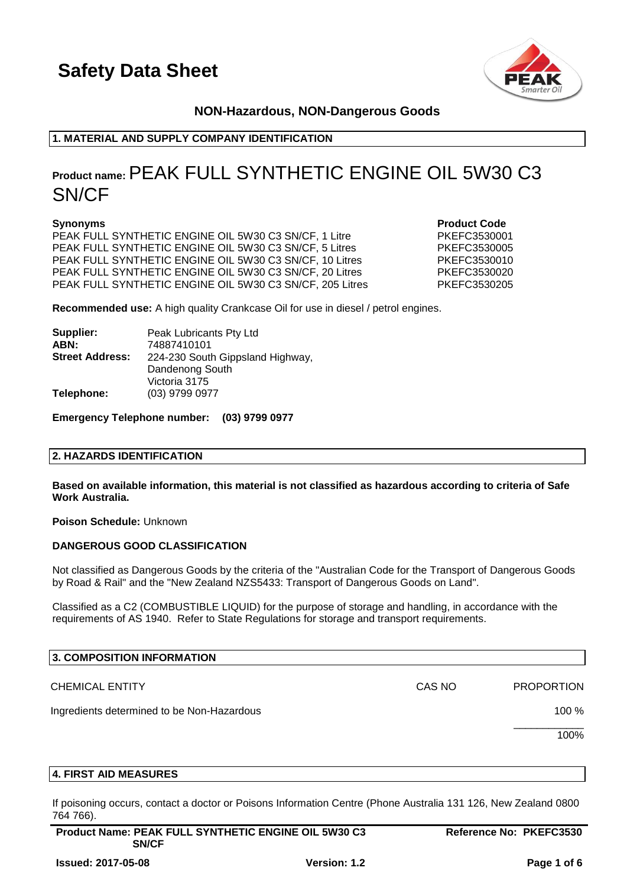

# **NON-Hazardous, NON-Dangerous Goods**

# **1. MATERIAL AND SUPPLY COMPANY IDENTIFICATION**

# **Product name:**PEAK FULL SYNTHETIC ENGINE OIL 5W30 C3 SN/CF

PEAK FULL SYNTHETIC ENGINE OIL 5W30 C3 SN/CF, 1 Litre PKEFC3530001 PEAK FULL SYNTHETIC ENGINE OIL 5W30 C3 SN/CF, 5 Litres PKEFC3530005 PEAK FULL SYNTHETIC ENGINE OIL 5W30 C3 SN/CF, 10 Litres PKEFC3530010 PEAK FULL SYNTHETIC ENGINE OIL 5W30 C3 SN/CF, 20 Litres PKEFC3530020 PEAK FULL SYNTHETIC ENGINE OIL 5W30 C3 SN/CF, 205 Litres PKEFC3530205

**Synonyms Product Code** 

**Recommended use:** A high quality Crankcase Oil for use in diesel / petrol engines.

| Supplier:              | Peak Lubricants Pty Ltd          |
|------------------------|----------------------------------|
| ABN:                   | 74887410101                      |
| <b>Street Address:</b> | 224-230 South Gippsland Highway, |
|                        | Dandenong South                  |
|                        | Victoria 3175                    |
| Telephone:             | (03) 9799 0977                   |

**Emergency Telephone number: (03) 9799 0977**

# **2. HAZARDS IDENTIFICATION**

**Based on available information, this material is not classified as hazardous according to criteria of Safe Work Australia.**

**Poison Schedule:** Unknown

# **DANGEROUS GOOD CLASSIFICATION**

Not classified as Dangerous Goods by the criteria of the "Australian Code for the Transport of Dangerous Goods by Road & Rail" and the "New Zealand NZS5433: Transport of Dangerous Goods on Land".

Classified as a C2 (COMBUSTIBLE LIQUID) for the purpose of storage and handling, in accordance with the requirements of AS 1940. Refer to State Regulations for storage and transport requirements.

| 3. COMPOSITION INFORMATION                 |        |                   |
|--------------------------------------------|--------|-------------------|
| <b>CHEMICAL ENTITY</b>                     | CAS NO | <b>PROPORTION</b> |
| Ingredients determined to be Non-Hazardous |        | 100 %             |
|                                            |        | 100%              |
|                                            |        |                   |

# **4. FIRST AID MEASURES**

If poisoning occurs, contact a doctor or Poisons Information Centre (Phone Australia 131 126, New Zealand 0800 764 766).

| <b>Product Name: PEAK FULL SYNTHETIC ENGINE OIL 5W30 C3</b> | Reference No: PKEFC3530 |  |
|-------------------------------------------------------------|-------------------------|--|
| <b>SN/CF</b>                                                |                         |  |
|                                                             |                         |  |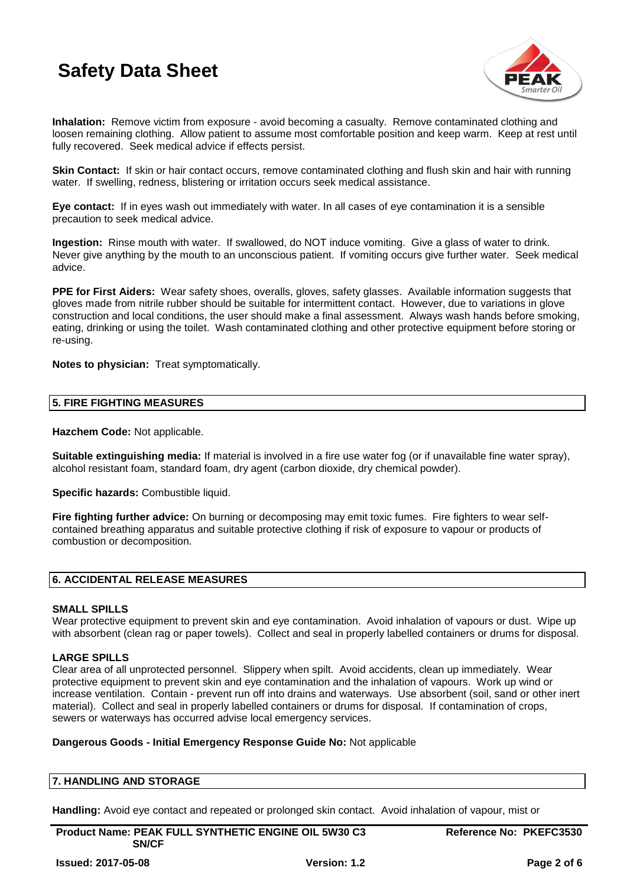

**Inhalation:** Remove victim from exposure - avoid becoming a casualty. Remove contaminated clothing and loosen remaining clothing. Allow patient to assume most comfortable position and keep warm. Keep at rest until fully recovered. Seek medical advice if effects persist.

**Skin Contact:** If skin or hair contact occurs, remove contaminated clothing and flush skin and hair with running water. If swelling, redness, blistering or irritation occurs seek medical assistance.

**Eye contact:** If in eyes wash out immediately with water. In all cases of eye contamination it is a sensible precaution to seek medical advice.

**Ingestion:** Rinse mouth with water. If swallowed, do NOT induce vomiting. Give a glass of water to drink. Never give anything by the mouth to an unconscious patient. If vomiting occurs give further water. Seek medical advice.

**PPE for First Aiders:** Wear safety shoes, overalls, gloves, safety glasses. Available information suggests that gloves made from nitrile rubber should be suitable for intermittent contact. However, due to variations in glove construction and local conditions, the user should make a final assessment. Always wash hands before smoking, eating, drinking or using the toilet. Wash contaminated clothing and other protective equipment before storing or re-using.

**Notes to physician:** Treat symptomatically.

# **5. FIRE FIGHTING MEASURES**

**Hazchem Code:** Not applicable.

**Suitable extinguishing media:** If material is involved in a fire use water fog (or if unavailable fine water spray), alcohol resistant foam, standard foam, dry agent (carbon dioxide, dry chemical powder).

**Specific hazards: Combustible liquid.** 

**Fire fighting further advice:** On burning or decomposing may emit toxic fumes. Fire fighters to wear selfcontained breathing apparatus and suitable protective clothing if risk of exposure to vapour or products of combustion or decomposition.

# **6. ACCIDENTAL RELEASE MEASURES**

# **SMALL SPILLS**

Wear protective equipment to prevent skin and eve contamination. Avoid inhalation of vapours or dust. Wipe up with absorbent (clean rag or paper towels). Collect and seal in properly labelled containers or drums for disposal.

# **LARGE SPILLS**

Clear area of all unprotected personnel. Slippery when spilt. Avoid accidents, clean up immediately. Wear protective equipment to prevent skin and eye contamination and the inhalation of vapours. Work up wind or increase ventilation. Contain - prevent run off into drains and waterways. Use absorbent (soil, sand or other inert material). Collect and seal in properly labelled containers or drums for disposal. If contamination of crops, sewers or waterways has occurred advise local emergency services.

# **Dangerous Goods - Initial Emergency Response Guide No:** Not applicable

# **7. HANDLING AND STORAGE**

**Handling:** Avoid eye contact and repeated or prolonged skin contact. Avoid inhalation of vapour, mist or

**Product Name: PEAK FULL SYNTHETIC ENGINE OIL 5W30 C3 SN/CF**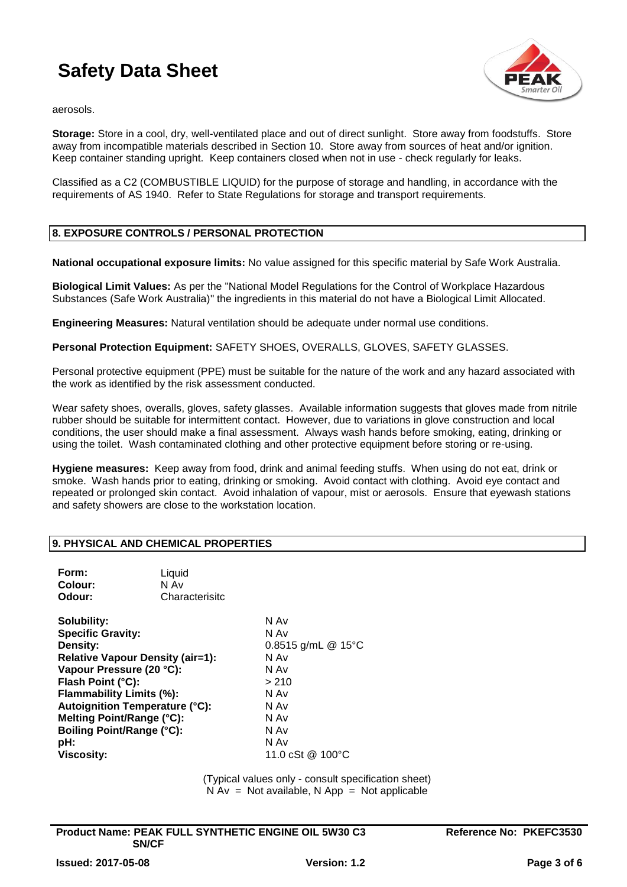

aerosols.

**Storage:** Store in a cool, dry, well-ventilated place and out of direct sunlight. Store away from foodstuffs. Store away from incompatible materials described in Section 10. Store away from sources of heat and/or ignition. Keep container standing upright. Keep containers closed when not in use - check regularly for leaks.

Classified as a C2 (COMBUSTIBLE LIQUID) for the purpose of storage and handling, in accordance with the requirements of AS 1940. Refer to State Regulations for storage and transport requirements.

# **8. EXPOSURE CONTROLS / PERSONAL PROTECTION**

**National occupational exposure limits:** No value assigned for this specific material by Safe Work Australia.

**Biological Limit Values:** As per the "National Model Regulations for the Control of Workplace Hazardous Substances (Safe Work Australia)" the ingredients in this material do not have a Biological Limit Allocated.

**Engineering Measures:** Natural ventilation should be adequate under normal use conditions.

**Personal Protection Equipment:** SAFETY SHOES, OVERALLS, GLOVES, SAFETY GLASSES.

Personal protective equipment (PPE) must be suitable for the nature of the work and any hazard associated with the work as identified by the risk assessment conducted.

Wear safety shoes, overalls, gloves, safety glasses. Available information suggests that gloves made from nitrile rubber should be suitable for intermittent contact. However, due to variations in glove construction and local conditions, the user should make a final assessment. Always wash hands before smoking, eating, drinking or using the toilet. Wash contaminated clothing and other protective equipment before storing or re-using.

**Hygiene measures:** Keep away from food, drink and animal feeding stuffs. When using do not eat, drink or smoke. Wash hands prior to eating, drinking or smoking. Avoid contact with clothing. Avoid eye contact and repeated or prolonged skin contact. Avoid inhalation of vapour, mist or aerosols. Ensure that eyewash stations and safety showers are close to the workstation location.

# **9. PHYSICAL AND CHEMICAL PROPERTIES**

| Form:<br>Colour:<br>Odour:                                                                                                                                                                                                                                                                   | Liquid<br>N Av<br>Characterisitc |                                                                                                       |
|----------------------------------------------------------------------------------------------------------------------------------------------------------------------------------------------------------------------------------------------------------------------------------------------|----------------------------------|-------------------------------------------------------------------------------------------------------|
| Solubility:<br><b>Specific Gravity:</b><br>Density:<br><b>Relative Vapour Density (air=1):</b><br>Vapour Pressure (20 °C):<br>Flash Point (°C):<br>Flammability Limits (%):<br><b>Autoignition Temperature (°C):</b><br>Melting Point/Range (°C):<br><b>Boiling Point/Range (°C):</b><br>pH: |                                  | N Av<br>N Av<br>0.8515 g/mL $@$ 15°C<br>N Av<br>N Av<br>> 210<br>N Av<br>N Av<br>N Av<br>N Av<br>N Av |
| <b>Viscosity:</b>                                                                                                                                                                                                                                                                            |                                  | 11.0 cSt @ 100°C                                                                                      |

(Typical values only - consult specification sheet)  $N Av = Not available$ , N App = Not applicable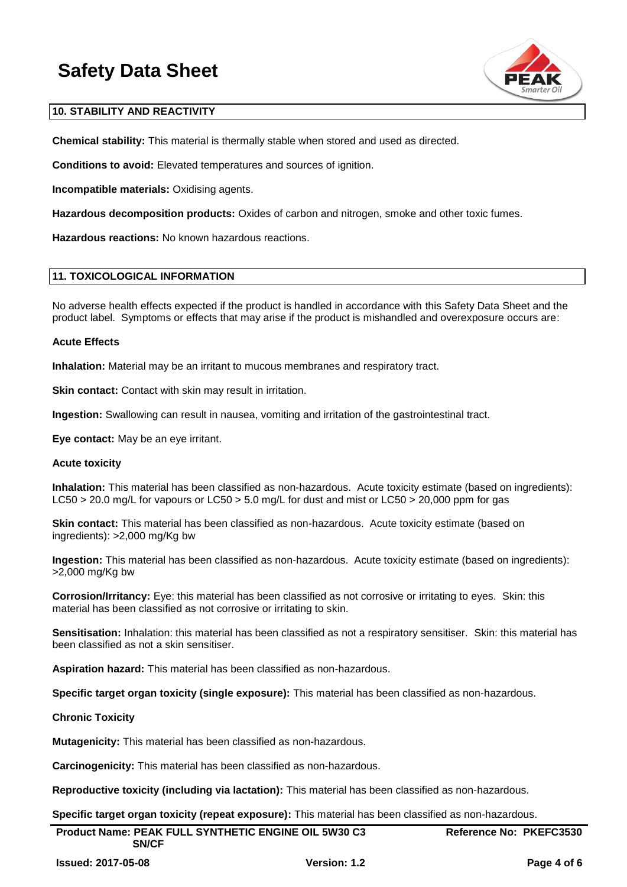

# **10. STABILITY AND REACTIVITY**

**Chemical stability:** This material is thermally stable when stored and used as directed.

**Conditions to avoid:** Elevated temperatures and sources of ignition.

**Incompatible materials:** Oxidising agents.

**Hazardous decomposition products:** Oxides of carbon and nitrogen, smoke and other toxic fumes.

**Hazardous reactions:** No known hazardous reactions.

# **11. TOXICOLOGICAL INFORMATION**

No adverse health effects expected if the product is handled in accordance with this Safety Data Sheet and the product label. Symptoms or effects that may arise if the product is mishandled and overexposure occurs are:

# **Acute Effects**

**Inhalation:** Material may be an irritant to mucous membranes and respiratory tract.

**Skin contact:** Contact with skin may result in irritation.

**Ingestion:** Swallowing can result in nausea, vomiting and irritation of the gastrointestinal tract.

**Eye contact:** May be an eye irritant.

# **Acute toxicity**

**Inhalation:** This material has been classified as non-hazardous. Acute toxicity estimate (based on ingredients): LC50 > 20.0 mg/L for vapours or LC50 > 5.0 mg/L for dust and mist or LC50 > 20,000 ppm for gas

**Skin contact:** This material has been classified as non-hazardous. Acute toxicity estimate (based on ingredients): >2,000 mg/Kg bw

**Ingestion:** This material has been classified as non-hazardous. Acute toxicity estimate (based on ingredients): >2,000 mg/Kg bw

**Corrosion/Irritancy:** Eye: this material has been classified as not corrosive or irritating to eyes. Skin: this material has been classified as not corrosive or irritating to skin.

**Sensitisation:** Inhalation: this material has been classified as not a respiratory sensitiser. Skin: this material has been classified as not a skin sensitiser.

**Aspiration hazard:** This material has been classified as non-hazardous.

**Specific target organ toxicity (single exposure):** This material has been classified as non-hazardous.

# **Chronic Toxicity**

**Mutagenicity:** This material has been classified as non-hazardous.

**Carcinogenicity:** This material has been classified as non-hazardous.

**Reproductive toxicity (including via lactation):** This material has been classified as non-hazardous.

**Specific target organ toxicity (repeat exposure):** This material has been classified as non-hazardous.

| Product Name: PEAK FULL SYNTHETIC ENGINE OIL 5W30 C3<br><b>SN/CF</b> |                     | Reference No: PKEFC3530 |
|----------------------------------------------------------------------|---------------------|-------------------------|
| <b>Issued: 2017-05-08</b>                                            | <b>Version: 1.2</b> | Page 4 of 6             |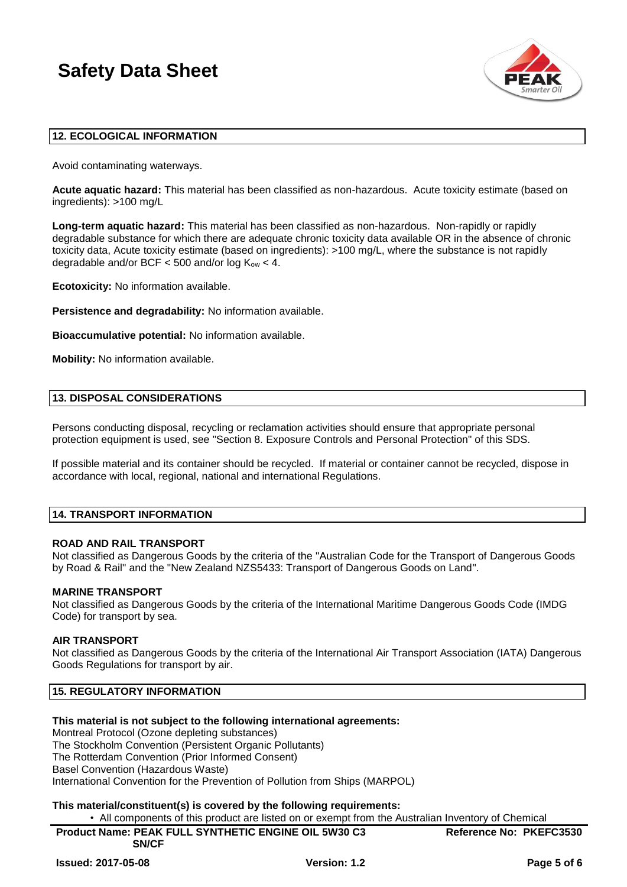

# **12. ECOLOGICAL INFORMATION**

Avoid contaminating waterways.

**Acute aquatic hazard:** This material has been classified as non-hazardous. Acute toxicity estimate (based on ingredients): >100 mg/L

**Long-term aquatic hazard:** This material has been classified as non-hazardous. Non-rapidly or rapidly degradable substance for which there are adequate chronic toxicity data available OR in the absence of chronic toxicity data, Acute toxicity estimate (based on ingredients): >100 mg/L, where the substance is not rapidly degradable and/or BCF  $<$  500 and/or log  $K_{ow}$   $<$  4.

**Ecotoxicity:** No information available.

**Persistence and degradability:** No information available.

**Bioaccumulative potential:** No information available.

**Mobility:** No information available.

#### **13. DISPOSAL CONSIDERATIONS**

Persons conducting disposal, recycling or reclamation activities should ensure that appropriate personal protection equipment is used, see "Section 8. Exposure Controls and Personal Protection" of this SDS.

If possible material and its container should be recycled. If material or container cannot be recycled, dispose in accordance with local, regional, national and international Regulations.

# **14. TRANSPORT INFORMATION**

# **ROAD AND RAIL TRANSPORT**

Not classified as Dangerous Goods by the criteria of the "Australian Code for the Transport of Dangerous Goods by Road & Rail" and the "New Zealand NZS5433: Transport of Dangerous Goods on Land".

#### **MARINE TRANSPORT**

Not classified as Dangerous Goods by the criteria of the International Maritime Dangerous Goods Code (IMDG Code) for transport by sea.

#### **AIR TRANSPORT**

Not classified as Dangerous Goods by the criteria of the International Air Transport Association (IATA) Dangerous Goods Regulations for transport by air.

# **15. REGULATORY INFORMATION**

# **This material is not subject to the following international agreements:**

Montreal Protocol (Ozone depleting substances) The Stockholm Convention (Persistent Organic Pollutants) The Rotterdam Convention (Prior Informed Consent) Basel Convention (Hazardous Waste) International Convention for the Prevention of Pollution from Ships (MARPOL)

# **This material/constituent(s) is covered by the following requirements:**

• All components of this product are listed on or exempt from the Australian Inventory of Chemical

**Product Name: PEAK FULL SYNTHETIC ENGINE OIL 5W30 C3 SN/CF Reference No: PKEFC3530**